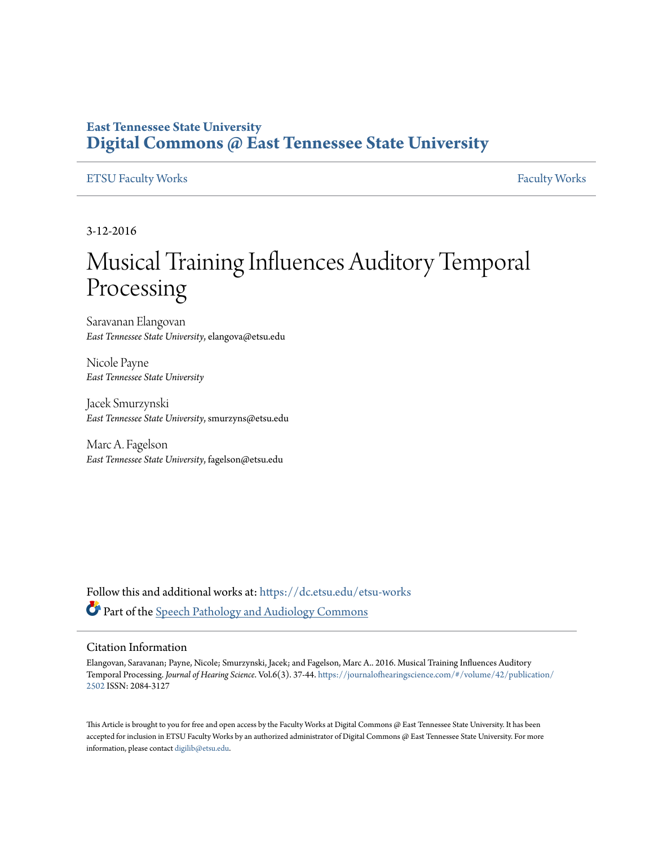# **East Tennessee State University [Digital Commons @ East Tennessee State University](https://dc.etsu.edu?utm_source=dc.etsu.edu%2Fetsu-works%2F1551&utm_medium=PDF&utm_campaign=PDFCoverPages)**

# [ETSU Faculty Works](https://dc.etsu.edu/etsu-works?utm_source=dc.etsu.edu%2Fetsu-works%2F1551&utm_medium=PDF&utm_campaign=PDFCoverPages) [Faculty Works](https://dc.etsu.edu/faculty-works?utm_source=dc.etsu.edu%2Fetsu-works%2F1551&utm_medium=PDF&utm_campaign=PDFCoverPages) Faculty Works

3-12-2016

# Musical Training Influences Auditory Temporal Processing

Saravanan Elangovan *East Tennessee State University*, elangova@etsu.edu

Nicole Payne *East Tennessee State University*

Jacek Smurzynski *East Tennessee State University*, smurzyns@etsu.edu

Marc A. Fagelson *East Tennessee State University*, fagelson@etsu.edu

Follow this and additional works at: [https://dc.etsu.edu/etsu-works](https://dc.etsu.edu/etsu-works?utm_source=dc.etsu.edu%2Fetsu-works%2F1551&utm_medium=PDF&utm_campaign=PDFCoverPages) Part of the [Speech Pathology and Audiology Commons](http://network.bepress.com/hgg/discipline/1035?utm_source=dc.etsu.edu%2Fetsu-works%2F1551&utm_medium=PDF&utm_campaign=PDFCoverPages)

#### Citation Information

Elangovan, Saravanan; Payne, Nicole; Smurzynski, Jacek; and Fagelson, Marc A.. 2016. Musical Training Influences Auditory Temporal Processing. *Journal of Hearing Science*. Vol.6(3). 37-44. [https://journalofhearingscience.com/#/volume/42/publication/](https://journalofhearingscience.com/#/volume/42/publication/2502) [2502](https://journalofhearingscience.com/#/volume/42/publication/2502) ISSN: 2084-3127

This Article is brought to you for free and open access by the Faculty Works at Digital Commons  $\varpi$  East Tennessee State University. It has been accepted for inclusion in ETSU Faculty Works by an authorized administrator of Digital Commons @ East Tennessee State University. For more information, please contact [digilib@etsu.edu.](mailto:digilib@etsu.edu)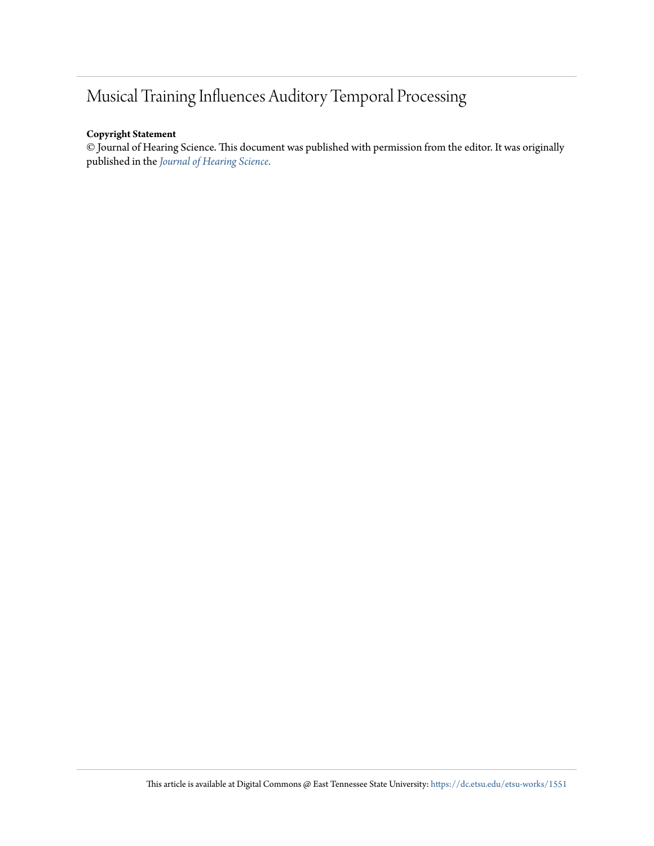# Musical Training Influences Auditory Temporal Processing

# **Copyright Statement**

© Journal of Hearing Science. This document was published with permission from the editor. It was originally published in the *[Journal of Hearing Science](https://journalofhearingscience.com/#/volume/42/publication/2502)*.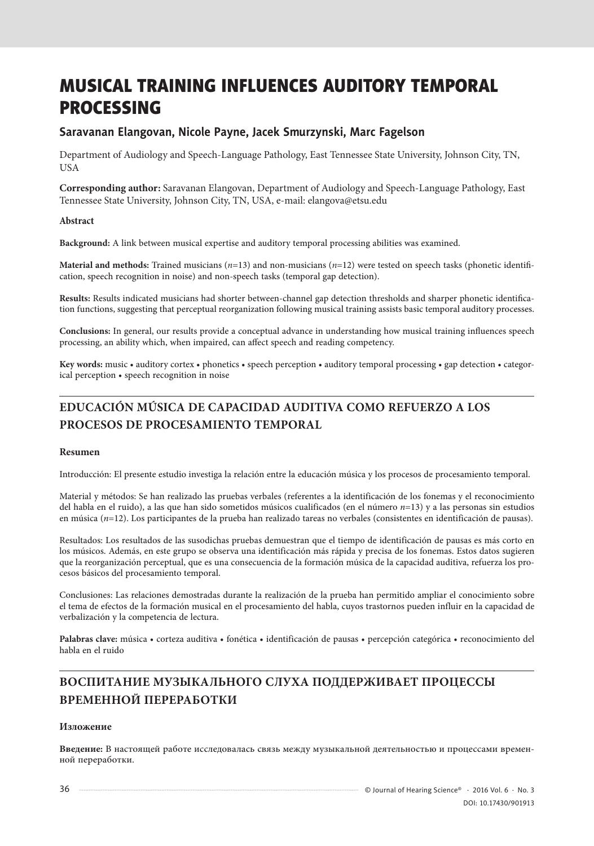# MUSICAL TRAINING INFLUENCES AUDITORY TEMPORAL PROCESSING

# **Saravanan Elangovan, Nicole Payne, Jacek Smurzynski, Marc Fagelson**

Department of Audiology and Speech-Language Pathology, East Tennessee State University, Johnson City, TN, **USA** 

**Corresponding author:** Saravanan Elangovan, Department of Audiology and Speech-Language Pathology, East Tennessee State University, Johnson City, TN, USA, e-mail: elangova@etsu.edu

# **Abstract**

**Background:** A link between musical expertise and auditory temporal processing abilities was examined.

**Material and methods:** Trained musicians (*n*=13) and non-musicians (*n*=12) were tested on speech tasks (phonetic identification, speech recognition in noise) and non-speech tasks (temporal gap detection).

**Results:** Results indicated musicians had shorter between-channel gap detection thresholds and sharper phonetic identification functions, suggesting that perceptual reorganization following musical training assists basic temporal auditory processes.

**Conclusions:** In general, our results provide a conceptual advance in understanding how musical training influences speech processing, an ability which, when impaired, can affect speech and reading competency.

**Key words:** music • auditory cortex • phonetics • speech perception • auditory temporal processing • gap detection • categorical perception • speech recognition in noise

# **EDUCACIÓN MÚSICA DE CAPACIDAD AUDITIVA COMO REFUERZO A LOS PROCESOS DE PROCESAMIENTO TEMPORAL**

## **Resumen**

Introducción: El presente estudio investiga la relación entre la educación música y los procesos de procesamiento temporal.

Material y métodos: Se han realizado las pruebas verbales (referentes a la identificación de los fonemas y el reconocimiento del habla en el ruido), a las que han sido sometidos músicos cualificados (en el número *n*=13) y a las personas sin estudios en música (*n*=12). Los participantes de la prueba han realizado tareas no verbales (consistentes en identificación de pausas).

Resultados: Los resultados de las susodichas pruebas demuestran que el tiempo de identificación de pausas es más corto en los músicos. Además, en este grupo se observa una identificación más rápida y precisa de los fonemas. Estos datos sugieren que la reorganización perceptual, que es una consecuencia de la formación música de la capacidad auditiva, refuerza los procesos básicos del procesamiento temporal.

Conclusiones: Las relaciones demostradas durante la realización de la prueba han permitido ampliar el conocimiento sobre el tema de efectos de la formación musical en el procesamiento del habla, cuyos trastornos pueden influir en la capacidad de verbalización y la competencia de lectura.

**Palabras clave:** música • corteza auditiva • fonética • identificación de pausas • percepción categórica • reconocimiento del habla en el ruido

# **ВОСПИТАНИЕ МУЗЫКАЛЬНОГО СЛУХА ПОДДЕРЖИВАЕТ ПРОЦЕССЫ ВРЕМЕННОЙ ПЕРЕРАБОТКИ**

## **Изложение**

**Введение:** В настоящей работе исследовалась связь между музыкальной деятельностью и процессами временной переработки.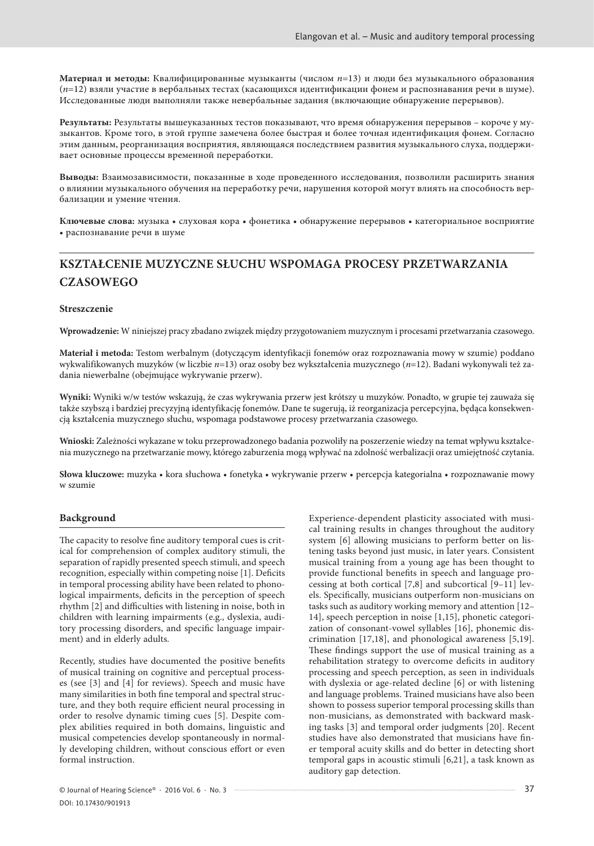**Материал и методы:** Квалифицированные музыканты (числом *n*=13) и люди без музыкального образования (*n*=12) взяли участие в вербальных тестах (касающихся идентификации фонем и распознавания речи в шуме). Исследованные люди выполняли также невербальные задания (включающие обнаружение перерывов).

**Результаты:** Результаты вышеуказанных тестов показывают, что время обнаружения перерывов – короче у музыкантов. Кроме того, в этой группе замечена более быстрая и более точная идентификация фонем. Согласно этим данным, реорганизация восприятия, являющаяся последствием развития музыкального слуха, поддерживает основные процессы временной переработки.

**Выводы:** Взаимозависимости, показанные в ходе проведенного исследования, позволили расширить знания о влиянии музыкального обучения на переработку речи, нарушения которой могут влиять на способность вербализации и умение чтения.

**Ключевые слова:** музыка • слуховая кора • фонетика • обнаружение перерывов • категориальное восприятие • распознавание речи в шуме

# **KSZTAŁCENIE MUZYCZNE SŁUCHU WSPOMAGA PROCESY PRZETWARZANIA CZASOWEGO**

#### **Streszczenie**

**Wprowadzenie:** W niniejszej pracy zbadano związek między przygotowaniem muzycznym i procesami przetwarzania czasowego.

**Materiał i metoda:** Testom werbalnym (dotyczącym identyfikacji fonemów oraz rozpoznawania mowy w szumie) poddano wykwalifikowanych muzyków (w liczbie *n*=13) oraz osoby bez wykształcenia muzycznego (*n*=12). Badani wykonywali też zadania niewerbalne (obejmujące wykrywanie przerw).

**Wyniki:** Wyniki w/w testów wskazują, że czas wykrywania przerw jest krótszy u muzyków. Ponadto, w grupie tej zauważa się także szybszą i bardziej precyzyjną identyfikację fonemów. Dane te sugerują, iż reorganizacja percepcyjna, będąca konsekwencją kształcenia muzycznego słuchu, wspomaga podstawowe procesy przetwarzania czasowego.

**Wnioski:** Zależności wykazane w toku przeprowadzonego badania pozwoliły na poszerzenie wiedzy na temat wpływu kształcenia muzycznego na przetwarzanie mowy, którego zaburzenia mogą wpływać na zdolność werbalizacji oraz umiejętność czytania.

**Słowa kluczowe:** muzyka • kora słuchowa • fonetyka • wykrywanie przerw • percepcja kategorialna • rozpoznawanie mowy w szumie

#### **Background**

The capacity to resolve fine auditory temporal cues is critical for comprehension of complex auditory stimuli, the separation of rapidly presented speech stimuli, and speech recognition, especially within competing noise [1]. Deficits in temporal processing ability have been related to phonological impairments, deficits in the perception of speech rhythm [2] and difficulties with listening in noise, both in children with learning impairments (e.g., dyslexia, auditory processing disorders, and specific language impairment) and in elderly adults.

Recently, studies have documented the positive benefits of musical training on cognitive and perceptual processes (see [3] and [4] for reviews). Speech and music have many similarities in both fine temporal and spectral structure, and they both require efficient neural processing in order to resolve dynamic timing cues [5]. Despite complex abilities required in both domains, linguistic and musical competencies develop spontaneously in normally developing children, without conscious effort or even formal instruction.

provide functional benefits in speech and language processing at both cortical [7,8] and subcortical [9–11] levels. Specifically, musicians outperform non-musicians on tasks such as auditory working memory and attention [12– 14], speech perception in noise [1,15], phonetic categorization of consonant-vowel syllables [16], phonemic discrimination [17,18], and phonological awareness [5,19]. These findings support the use of musical training as a rehabilitation strategy to overcome deficits in auditory processing and speech perception, as seen in individuals with dyslexia or age-related decline [6] or with listening and language problems. Trained musicians have also been shown to possess superior temporal processing skills than non-musicians, as demonstrated with backward masking tasks [3] and temporal order judgments [20]. Recent studies have also demonstrated that musicians have finer temporal acuity skills and do better in detecting short temporal gaps in acoustic stimuli [6,21], a task known as auditory gap detection.

Experience-dependent plasticity associated with musical training results in changes throughout the auditory system [6] allowing musicians to perform better on listening tasks beyond just music, in later years. Consistent musical training from a young age has been thought to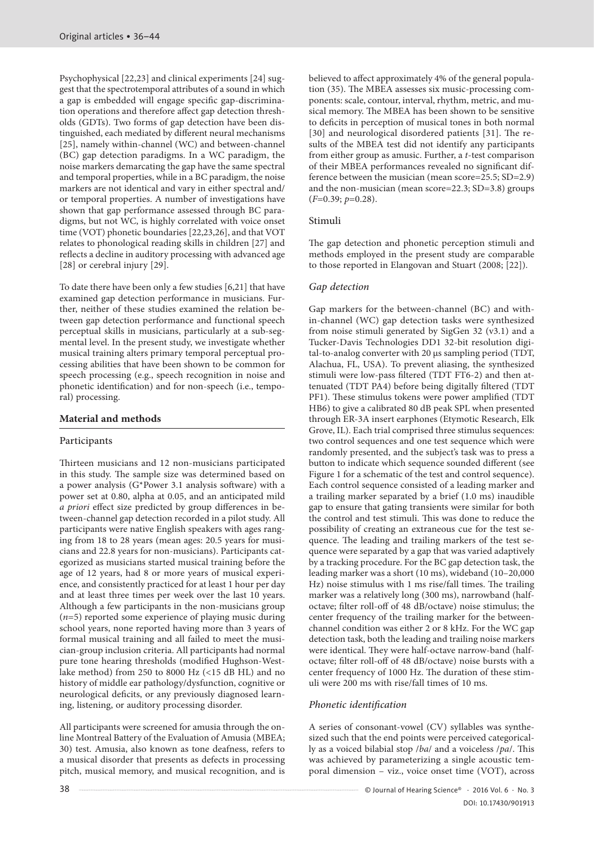Psychophysical [22,23] and clinical experiments [24] suggest that the spectrotemporal attributes of a sound in which a gap is embedded will engage specific gap-discrimination operations and therefore affect gap detection thresholds (GDTs). Two forms of gap detection have been distinguished, each mediated by different neural mechanisms [25], namely within-channel (WC) and between-channel (BC) gap detection paradigms. In a WC paradigm, the noise markers demarcating the gap have the same spectral and temporal properties, while in a BC paradigm, the noise markers are not identical and vary in either spectral and/ or temporal properties. A number of investigations have shown that gap performance assessed through BC paradigms, but not WC, is highly correlated with voice onset time (VOT) phonetic boundaries [22,23,26], and that VOT relates to phonological reading skills in children [27] and reflects a decline in auditory processing with advanced age [28] or cerebral injury [29].

To date there have been only a few studies [6,21] that have examined gap detection performance in musicians. Further, neither of these studies examined the relation between gap detection performance and functional speech perceptual skills in musicians, particularly at a sub-segmental level. In the present study, we investigate whether musical training alters primary temporal perceptual processing abilities that have been shown to be common for speech processing (e.g., speech recognition in noise and phonetic identification) and for non-speech (i.e., temporal) processing.

# **Material and methods**

## Participants

Thirteen musicians and 12 non-musicians participated in this study. The sample size was determined based on a power analysis (G\*Power 3.1 analysis software) with a power set at 0.80, alpha at 0.05, and an anticipated mild *a priori* effect size predicted by group differences in between-channel gap detection recorded in a pilot study. All participants were native English speakers with ages ranging from 18 to 28 years (mean ages: 20.5 years for musicians and 22.8 years for non-musicians). Participants categorized as musicians started musical training before the age of 12 years, had 8 or more years of musical experience, and consistently practiced for at least 1 hour per day and at least three times per week over the last 10 years. Although a few participants in the non-musicians group (*n*=5) reported some experience of playing music during school years, none reported having more than 3 years of formal musical training and all failed to meet the musician-group inclusion criteria. All participants had normal pure tone hearing thresholds (modified Hughson-Westlake method) from 250 to 8000 Hz (<15 dB HL) and no history of middle ear pathology/dysfunction, cognitive or neurological deficits, or any previously diagnosed learning, listening, or auditory processing disorder.

All participants were screened for amusia through the online Montreal Battery of the Evaluation of Amusia (MBEA; 30) test. Amusia, also known as tone deafness, refers to a musical disorder that presents as defects in processing pitch, musical memory, and musical recognition, and is believed to affect approximately 4% of the general population (35). The MBEA assesses six music-processing components: scale, contour, interval, rhythm, metric, and musical memory. The MBEA has been shown to be sensitive to deficits in perception of musical tones in both normal [30] and neurological disordered patients [31]. The results of the MBEA test did not identify any participants from either group as amusic. Further, a *t*-test comparison of their MBEA performances revealed no significant difference between the musician (mean score=25.5; SD=2.9) and the non-musician (mean score=22.3; SD=3.8) groups (*F*=0.39; *p*=0.28).

## Stimuli

The gap detection and phonetic perception stimuli and methods employed in the present study are comparable to those reported in Elangovan and Stuart (2008; [22]).

# *Gap detection*

Gap markers for the between-channel (BC) and within-channel (WC) gap detection tasks were synthesized from noise stimuli generated by SigGen 32 (v3.1) and a Tucker-Davis Technologies DD1 32-bit resolution digital-to-analog converter with 20 μs sampling period (TDT, Alachua, FL, USA). To prevent aliasing, the synthesized stimuli were low-pass filtered (TDT FT6-2) and then attenuated (TDT PA4) before being digitally filtered (TDT PF1). These stimulus tokens were power amplified (TDT HB6) to give a calibrated 80 dB peak SPL when presented through ER-3A insert earphones (Etymotic Research, Elk Grove, IL). Each trial comprised three stimulus sequences: two control sequences and one test sequence which were randomly presented, and the subject's task was to press a button to indicate which sequence sounded different (see Figure 1 for a schematic of the test and control sequence). Each control sequence consisted of a leading marker and a trailing marker separated by a brief (1.0 ms) inaudible gap to ensure that gating transients were similar for both the control and test stimuli. This was done to reduce the possibility of creating an extraneous cue for the test sequence. The leading and trailing markers of the test sequence were separated by a gap that was varied adaptively by a tracking procedure. For the BC gap detection task, the leading marker was a short (10 ms), wideband (10–20,000 Hz) noise stimulus with 1 ms rise/fall times. The trailing marker was a relatively long (300 ms), narrowband (halfoctave; filter roll-off of 48 dB/octave) noise stimulus; the center frequency of the trailing marker for the betweenchannel condition was either 2 or 8 kHz. For the WC gap detection task, both the leading and trailing noise markers were identical. They were half-octave narrow-band (halfoctave; filter roll-off of 48 dB/octave) noise bursts with a center frequency of 1000 Hz. The duration of these stimuli were 200 ms with rise/fall times of 10 ms.

# *Phonetic identification*

A series of consonant-vowel (CV) syllables was synthesized such that the end points were perceived categorically as a voiced bilabial stop /*ba*/ and a voiceless /*pa*/. This was achieved by parameterizing a single acoustic temporal dimension – viz., voice onset time (VOT), across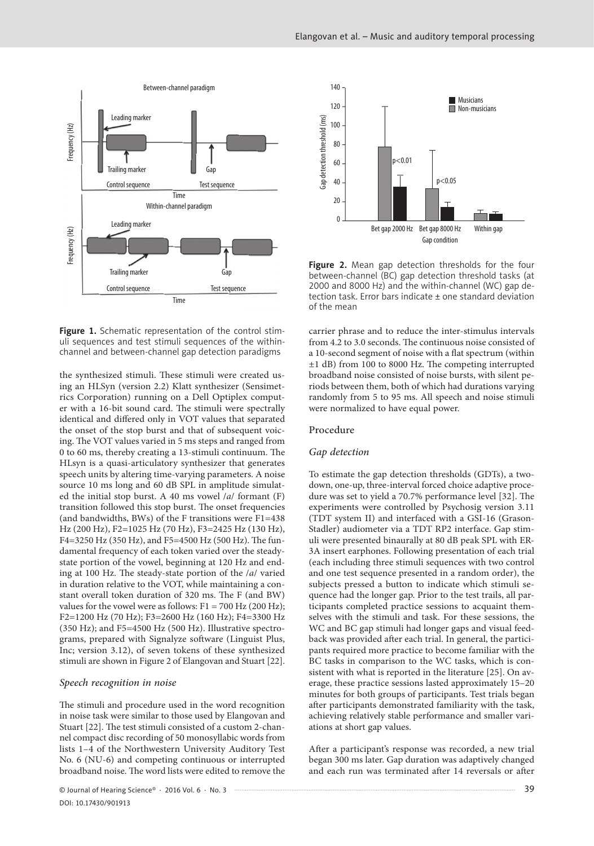

Figure 1. Schematic representation of the control stimuli sequences and test stimuli sequences of the withinchannel and between-channel gap detection paradigms

the synthesized stimuli. These stimuli were created using an HLSyn (version 2.2) Klatt synthesizer (Sensimetrics Corporation) running on a Dell Optiplex computer with a 16-bit sound card. The stimuli were spectrally identical and differed only in VOT values that separated the onset of the stop burst and that of subsequent voicing. The VOT values varied in 5 ms steps and ranged from 0 to 60 ms, thereby creating a 13-stimuli continuum. The HLsyn is a quasi-articulatory synthesizer that generates speech units by altering time-varying parameters. A noise source 10 ms long and 60 dB SPL in amplitude simulated the initial stop burst. A 40 ms vowel /*a*/ formant (F) transition followed this stop burst. The onset frequencies (and bandwidths, BWs) of the F transitions were F1=438 Hz (200 Hz), F2=1025 Hz (70 Hz), F3=2425 Hz (130 Hz), F4=3250 Hz (350 Hz), and F5=4500 Hz (500 Hz). The fundamental frequency of each token varied over the steadystate portion of the vowel, beginning at 120 Hz and ending at 100 Hz. The steady-state portion of the /*a*/ varied in duration relative to the VOT, while maintaining a constant overall token duration of 320 ms. The F (and BW) values for the vowel were as follows:  $F1 = 700$  Hz (200 Hz); F2=1200 Hz (70 Hz); F3=2600 Hz (160 Hz); F4=3300 Hz (350 Hz); and F5=4500 Hz (500 Hz). Illustrative spectrograms, prepared with Signalyze software (Linguist Plus, Inc; version 3.12), of seven tokens of these synthesized stimuli are shown in Figure 2 of Elangovan and Stuart [22].

#### *Speech recognition in noise*

The stimuli and procedure used in the word recognition in noise task were similar to those used by Elangovan and Stuart [22]. The test stimuli consisted of a custom 2-channel compact disc recording of 50 monosyllabic words from lists 1–4 of the Northwestern University Auditory Test No. 6 (NU-6) and competing continuous or interrupted broadband noise. The word lists were edited to remove the



Figure 2. Mean gap detection thresholds for the four between-channel (BC) gap detection threshold tasks (at 2000 and 8000 Hz) and the within-channel (WC) gap detection task. Error bars indicate ± one standard deviation of the mean

carrier phrase and to reduce the inter-stimulus intervals from 4.2 to 3.0 seconds. The continuous noise consisted of a 10-second segment of noise with a flat spectrum (within ±1 dB) from 100 to 8000 Hz. The competing interrupted broadband noise consisted of noise bursts, with silent periods between them, both of which had durations varying randomly from 5 to 95 ms. All speech and noise stimuli were normalized to have equal power.

#### Procedure

#### *Gap detection*

To estimate the gap detection thresholds (GDTs), a twodown, one-up, three-interval forced choice adaptive procedure was set to yield a 70.7% performance level [32]. The experiments were controlled by Psychosig version 3.11 (TDT system II) and interfaced with a GSI-16 (Grason-Stadler) audiometer via a TDT RP2 interface. Gap stimuli were presented binaurally at 80 dB peak SPL with ER-3A insert earphones. Following presentation of each trial (each including three stimuli sequences with two control and one test sequence presented in a random order), the subjects pressed a button to indicate which stimuli sequence had the longer gap. Prior to the test trails, all participants completed practice sessions to acquaint themselves with the stimuli and task. For these sessions, the WC and BC gap stimuli had longer gaps and visual feedback was provided after each trial. In general, the participants required more practice to become familiar with the BC tasks in comparison to the WC tasks, which is consistent with what is reported in the literature [25]. On average, these practice sessions lasted approximately 15–20 minutes for both groups of participants. Test trials began after participants demonstrated familiarity with the task, achieving relatively stable performance and smaller variations at short gap values.

After a participant's response was recorded, a new trial began 300 ms later. Gap duration was adaptively changed and each run was terminated after 14 reversals or after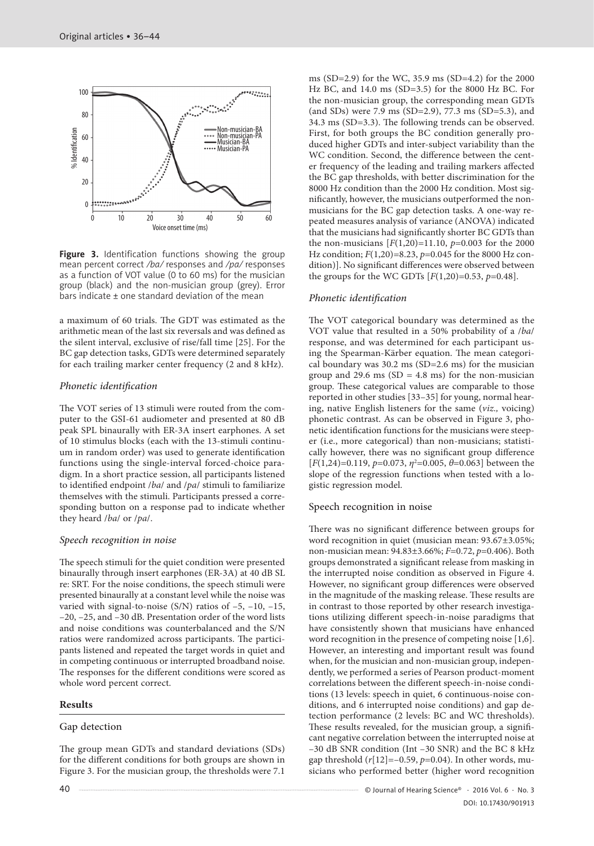

Figure 3. Identification functions showing the group mean percent correct */ba/* responses and */pa/* responses as a function of VOT value (0 to 60 ms) for the musician group (black) and the non-musician group (grey). Error bars indicate ± one standard deviation of the mean

a maximum of 60 trials. The GDT was estimated as the arithmetic mean of the last six reversals and was defined as the silent interval, exclusive of rise/fall time [25]. For the BC gap detection tasks, GDTs were determined separately for each trailing marker center frequency (2 and 8 kHz).

#### *Phonetic identification*

The VOT series of 13 stimuli were routed from the computer to the GSI-61 audiometer and presented at 80 dB peak SPL binaurally with ER-3A insert earphones. A set of 10 stimulus blocks (each with the 13-stimuli continuum in random order) was used to generate identification functions using the single-interval forced-choice paradigm. In a short practice session, all participants listened to identified endpoint /*ba*/ and /*pa*/ stimuli to familiarize themselves with the stimuli. Participants pressed a corresponding button on a response pad to indicate whether they heard /*ba*/ or /*pa*/.

## *Speech recognition in noise*

The speech stimuli for the quiet condition were presented binaurally through insert earphones (ER-3A) at 40 dB SL re: SRT. For the noise conditions, the speech stimuli were presented binaurally at a constant level while the noise was varied with signal-to-noise  $(S/N)$  ratios of  $-5$ ,  $-10$ ,  $-15$ , –20, –25, and –30 dB. Presentation order of the word lists and noise conditions was counterbalanced and the S/N ratios were randomized across participants. The participants listened and repeated the target words in quiet and in competing continuous or interrupted broadband noise. The responses for the different conditions were scored as whole word percent correct.

## **Results**

## Gap detection

The group mean GDTs and standard deviations (SDs) for the different conditions for both groups are shown in Figure 3. For the musician group, the thresholds were 7.1

ms (SD=2.9) for the WC, 35.9 ms (SD=4.2) for the 2000 Hz BC, and 14.0 ms (SD=3.5) for the 8000 Hz BC. For the non-musician group, the corresponding mean GDTs (and SDs) were 7.9 ms (SD=2.9), 77.3 ms (SD=5.3), and 34.3 ms (SD=3.3). The following trends can be observed. First, for both groups the BC condition generally produced higher GDTs and inter-subject variability than the WC condition. Second, the difference between the center frequency of the leading and trailing markers affected the BC gap thresholds, with better discrimination for the 8000 Hz condition than the 2000 Hz condition. Most significantly, however, the musicians outperformed the nonmusicians for the BC gap detection tasks. A one-way repeated measures analysis of variance (ANOVA) indicated that the musicians had significantly shorter BC GDTs than the non-musicians [*F*(1,20)=11.10, *p*=0.003 for the 2000 Hz condition; *F*(1,20)=8.23, *p*=0.045 for the 8000 Hz condition)]. No significant differences were observed between the groups for the WC GDTs  $[F(1,20)=0.53, p=0.48]$ .

## *Phonetic identification*

The VOT categorical boundary was determined as the VOT value that resulted in a 50% probability of a /*ba*/ response, and was determined for each participant using the Spearman-Kärber equation. The mean categorical boundary was 30.2 ms (SD=2.6 ms) for the musician group and 29.6 ms ( $SD = 4.8$  ms) for the non-musician group. These categorical values are comparable to those reported in other studies [33–35] for young, normal hearing, native English listeners for the same (*viz.,* voicing) phonetic contrast. As can be observed in Figure 3, phonetic identification functions for the musicians were steeper (i.e., more categorical) than non-musicians; statistically however, there was no significant group difference [*F*(1,24)=0.119, *p*=0.073, *η*<sup>2</sup> =0.005, *θ*=0.063] between the slope of the regression functions when tested with a logistic regression model.

## Speech recognition in noise

There was no significant difference between groups for word recognition in quiet (musician mean: 93.67±3.05%; non-musician mean: 94.83±3.66%; *F*=0.72, *p*=0.406). Both groups demonstrated a significant release from masking in the interrupted noise condition as observed in Figure 4. However, no significant group differences were observed in the magnitude of the masking release. These results are in contrast to those reported by other research investigations utilizing different speech-in-noise paradigms that have consistently shown that musicians have enhanced word recognition in the presence of competing noise [1,6]. However, an interesting and important result was found when, for the musician and non-musician group, independently, we performed a series of Pearson product-moment correlations between the different speech-in-noise conditions (13 levels: speech in quiet, 6 continuous-noise conditions, and 6 interrupted noise conditions) and gap detection performance (2 levels: BC and WC thresholds). These results revealed, for the musician group, a significant negative correlation between the interrupted noise at –30 dB SNR condition (Int –30 SNR) and the BC 8 kHz gap threshold (*r*[12]=–0.59, *p*=0.04). In other words, musicians who performed better (higher word recognition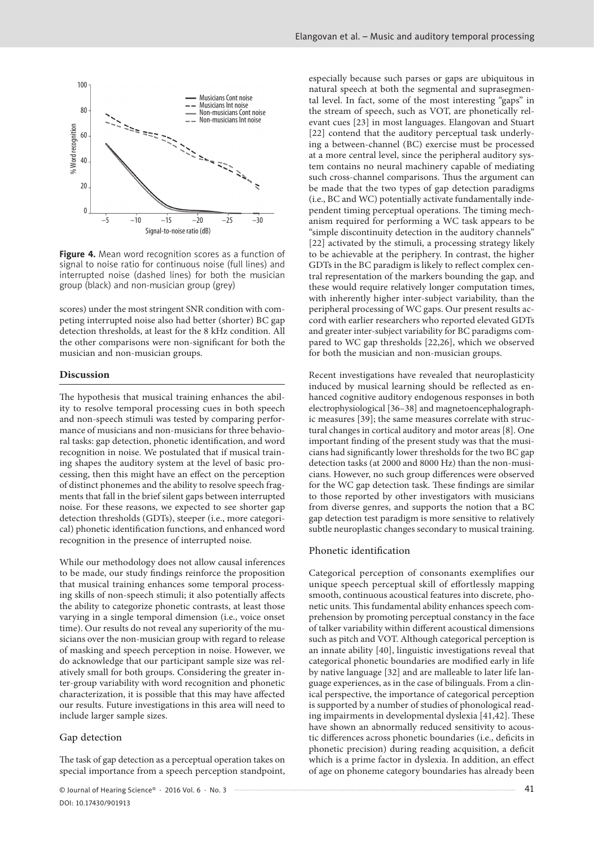

**Figure 4.** Mean word recognition scores as a function of signal to noise ratio for continuous noise (full lines) and interrupted noise (dashed lines) for both the musician group (black) and non-musician group (grey)

scores) under the most stringent SNR condition with competing interrupted noise also had better (shorter) BC gap detection thresholds, at least for the 8 kHz condition. All the other comparisons were non-significant for both the musician and non-musician groups.

#### **Discussion**

The hypothesis that musical training enhances the ability to resolve temporal processing cues in both speech and non-speech stimuli was tested by comparing performance of musicians and non-musicians for three behavioral tasks: gap detection, phonetic identification, and word recognition in noise. We postulated that if musical training shapes the auditory system at the level of basic processing, then this might have an effect on the perception of distinct phonemes and the ability to resolve speech fragments that fall in the brief silent gaps between interrupted noise. For these reasons, we expected to see shorter gap detection thresholds (GDTs), steeper (i.e., more categorical) phonetic identification functions, and enhanced word recognition in the presence of interrupted noise.

While our methodology does not allow causal inferences to be made, our study findings reinforce the proposition that musical training enhances some temporal processing skills of non-speech stimuli; it also potentially affects the ability to categorize phonetic contrasts, at least those varying in a single temporal dimension (i.e., voice onset time). Our results do not reveal any superiority of the musicians over the non-musician group with regard to release of masking and speech perception in noise. However, we do acknowledge that our participant sample size was relatively small for both groups. Considering the greater inter-group variability with word recognition and phonetic characterization, it is possible that this may have affected our results. Future investigations in this area will need to include larger sample sizes.

#### Gap detection

The task of gap detection as a perceptual operation takes on special importance from a speech perception standpoint, especially because such parses or gaps are ubiquitous in natural speech at both the segmental and suprasegmental level. In fact, some of the most interesting "gaps" in the stream of speech, such as VOT, are phonetically relevant cues [23] in most languages. Elangovan and Stuart [22] contend that the auditory perceptual task underlying a between-channel (BC) exercise must be processed at a more central level, since the peripheral auditory system contains no neural machinery capable of mediating such cross-channel comparisons. Thus the argument can be made that the two types of gap detection paradigms (i.e., BC and WC) potentially activate fundamentally independent timing perceptual operations. The timing mechanism required for performing a WC task appears to be "simple discontinuity detection in the auditory channels" [22] activated by the stimuli, a processing strategy likely to be achievable at the periphery. In contrast, the higher GDTs in the BC paradigm is likely to reflect complex central representation of the markers bounding the gap, and these would require relatively longer computation times, with inherently higher inter-subject variability, than the peripheral processing of WC gaps. Our present results accord with earlier researchers who reported elevated GDTs and greater inter-subject variability for BC paradigms compared to WC gap thresholds [22,26], which we observed for both the musician and non-musician groups.

Recent investigations have revealed that neuroplasticity induced by musical learning should be reflected as enhanced cognitive auditory endogenous responses in both electrophysiological [36–38] and magnetoencephalographic measures [39]; the same measures correlate with structural changes in cortical auditory and motor areas [8]. One important finding of the present study was that the musicians had significantly lower thresholds for the two BC gap detection tasks (at 2000 and 8000 Hz) than the non-musicians. However, no such group differences were observed for the WC gap detection task. These findings are similar to those reported by other investigators with musicians from diverse genres, and supports the notion that a BC gap detection test paradigm is more sensitive to relatively subtle neuroplastic changes secondary to musical training.

#### Phonetic identification

Categorical perception of consonants exemplifies our unique speech perceptual skill of effortlessly mapping smooth, continuous acoustical features into discrete, phonetic units. This fundamental ability enhances speech comprehension by promoting perceptual constancy in the face of talker variability within different acoustical dimensions such as pitch and VOT. Although categorical perception is an innate ability [40], linguistic investigations reveal that categorical phonetic boundaries are modified early in life by native language [32] and are malleable to later life language experiences, as in the case of bilinguals. From a clinical perspective, the importance of categorical perception is supported by a number of studies of phonological reading impairments in developmental dyslexia [41,42]. These have shown an abnormally reduced sensitivity to acoustic differences across phonetic boundaries (i.e., deficits in phonetic precision) during reading acquisition, a deficit which is a prime factor in dyslexia. In addition, an effect of age on phoneme category boundaries has already been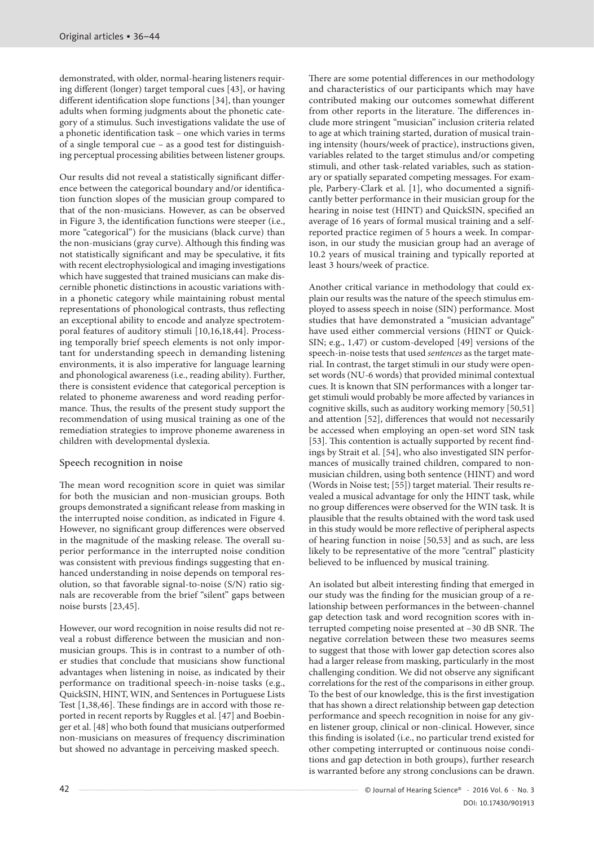demonstrated, with older, normal-hearing listeners requiring different (longer) target temporal cues [43], or having different identification slope functions [34], than younger adults when forming judgments about the phonetic category of a stimulus. Such investigations validate the use of a phonetic identification task – one which varies in terms of a single temporal cue – as a good test for distinguishing perceptual processing abilities between listener groups.

Our results did not reveal a statistically significant difference between the categorical boundary and/or identification function slopes of the musician group compared to that of the non-musicians. However, as can be observed in Figure 3, the identification functions were steeper (i.e., more "categorical") for the musicians (black curve) than the non-musicians (gray curve). Although this finding was not statistically significant and may be speculative, it fits with recent electrophysiological and imaging investigations which have suggested that trained musicians can make discernible phonetic distinctions in acoustic variations within a phonetic category while maintaining robust mental representations of phonological contrasts, thus reflecting an exceptional ability to encode and analyze spectrotemporal features of auditory stimuli [10,16,18,44]. Processing temporally brief speech elements is not only important for understanding speech in demanding listening environments, it is also imperative for language learning and phonological awareness (i.e., reading ability). Further, there is consistent evidence that categorical perception is related to phoneme awareness and word reading performance. Thus, the results of the present study support the recommendation of using musical training as one of the remediation strategies to improve phoneme awareness in children with developmental dyslexia.

#### Speech recognition in noise

The mean word recognition score in quiet was similar for both the musician and non-musician groups. Both groups demonstrated a significant release from masking in the interrupted noise condition, as indicated in Figure 4. However, no significant group differences were observed in the magnitude of the masking release. The overall superior performance in the interrupted noise condition was consistent with previous findings suggesting that enhanced understanding in noise depends on temporal resolution, so that favorable signal-to-noise (S/N) ratio signals are recoverable from the brief "silent" gaps between noise bursts [23,45].

However, our word recognition in noise results did not reveal a robust difference between the musician and nonmusician groups. This is in contrast to a number of other studies that conclude that musicians show functional advantages when listening in noise, as indicated by their performance on traditional speech-in-noise tasks (e.g., QuickSIN, HINT, WIN, and Sentences in Portuguese Lists Test [1,38,46]. These findings are in accord with those reported in recent reports by Ruggles et al. [47] and Boebinger et al. [48] who both found that musicians outperformed non-musicians on measures of frequency discrimination but showed no advantage in perceiving masked speech.

There are some potential differences in our methodology and characteristics of our participants which may have contributed making our outcomes somewhat different from other reports in the literature. The differences include more stringent "musician" inclusion criteria related to age at which training started, duration of musical training intensity (hours/week of practice), instructions given, variables related to the target stimulus and/or competing stimuli, and other task-related variables, such as stationary or spatially separated competing messages. For example, Parbery-Clark et al. [1], who documented a significantly better performance in their musician group for the hearing in noise test (HINT) and QuickSIN, specified an average of 16 years of formal musical training and a selfreported practice regimen of 5 hours a week. In comparison, in our study the musician group had an average of 10.2 years of musical training and typically reported at least 3 hours/week of practice.

Another critical variance in methodology that could explain our results was the nature of the speech stimulus employed to assess speech in noise (SIN) performance. Most studies that have demonstrated a "musician advantage" have used either commercial versions (HINT or Quick-SIN; e.g., 1,47) or custom-developed [49] versions of the speech-in-noise tests that used *sentences* as the target material. In contrast, the target stimuli in our study were openset words (NU-6 words) that provided minimal contextual cues. It is known that SIN performances with a longer target stimuli would probably be more affected by variances in cognitive skills, such as auditory working memory [50,51] and attention [52], differences that would not necessarily be accessed when employing an open-set word SIN task [53]. This contention is actually supported by recent findings by Strait et al. [54], who also investigated SIN performances of musically trained children, compared to nonmusician children, using both sentence (HINT) and word (Words in Noise test; [55]) target material. Their results revealed a musical advantage for only the HINT task, while no group differences were observed for the WIN task. It is plausible that the results obtained with the word task used in this study would be more reflective of peripheral aspects of hearing function in noise [50,53] and as such, are less likely to be representative of the more "central" plasticity believed to be influenced by musical training.

An isolated but albeit interesting finding that emerged in our study was the finding for the musician group of a relationship between performances in the between-channel gap detection task and word recognition scores with interrupted competing noise presented at –30 dB SNR. The negative correlation between these two measures seems to suggest that those with lower gap detection scores also had a larger release from masking, particularly in the most challenging condition. We did not observe any significant correlations for the rest of the comparisons in either group. To the best of our knowledge, this is the first investigation that has shown a direct relationship between gap detection performance and speech recognition in noise for any given listener group, clinical or non-clinical. However, since this finding is isolated (i.e., no particular trend existed for other competing interrupted or continuous noise conditions and gap detection in both groups), further research is warranted before any strong conclusions can be drawn.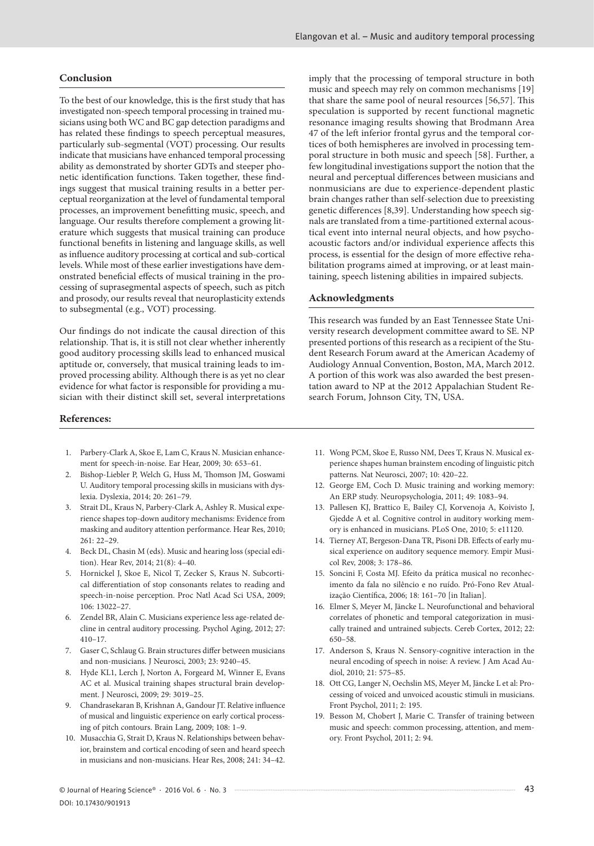#### **Conclusion**

To the best of our knowledge, this is the first study that has investigated non-speech temporal processing in trained musicians using both WC and BC gap detection paradigms and has related these findings to speech perceptual measures, particularly sub-segmental (VOT) processing. Our results indicate that musicians have enhanced temporal processing ability as demonstrated by shorter GDTs and steeper phonetic identification functions. Taken together, these findings suggest that musical training results in a better perceptual reorganization at the level of fundamental temporal processes, an improvement benefitting music, speech, and language. Our results therefore complement a growing literature which suggests that musical training can produce functional benefits in listening and language skills, as well as influence auditory processing at cortical and sub-cortical levels. While most of these earlier investigations have demonstrated beneficial effects of musical training in the processing of suprasegmental aspects of speech, such as pitch and prosody, our results reveal that neuroplasticity extends to subsegmental (e.g., VOT) processing.

Our findings do not indicate the causal direction of this relationship. That is, it is still not clear whether inherently good auditory processing skills lead to enhanced musical aptitude or, conversely, that musical training leads to improved processing ability. Although there is as yet no clear evidence for what factor is responsible for providing a musician with their distinct skill set, several interpretations

#### **References:**

- 1. Parbery-Clark A, Skoe E, Lam C, Kraus N. Musician enhancement for speech-in-noise. Ear Hear, 2009; 30: 653–61.
- 2. Bishop-Liebler P, Welch G, Huss M, Thomson JM, Goswami U. Auditory temporal processing skills in musicians with dyslexia. Dyslexia, 2014; 20: 261–79.
- 3. Strait DL, Kraus N, Parbery-Clark A, Ashley R. Musical experience shapes top-down auditory mechanisms: Evidence from masking and auditory attention performance. Hear Res, 2010; 261: 22–29.
- 4. Beck DL, Chasin M (eds). Music and hearing loss (special edition). Hear Rev, 2014; 21(8): 4–40.
- 5. Hornickel J, Skoe E, Nicol T, Zecker S, Kraus N. Subcortical differentiation of stop consonants relates to reading and speech-in-noise perception. Proc Natl Acad Sci USA, 2009; 106: 13022–27.
- 6. Zendel BR, Alain C. Musicians experience less age-related decline in central auditory processing. Psychol Aging, 2012; 27: 410–17.
- 7. Gaser C, Schlaug G. Brain structures differ between musicians and non-musicians. J Neurosci, 2003; 23: 9240–45.
- 8. Hyde KL1, Lerch J, Norton A, Forgeard M, Winner E, Evans AC et al. Musical training shapes structural brain development. J Neurosci, 2009; 29: 3019–25.
- 9. Chandrasekaran B, Krishnan A, Gandour JT. Relative influence of musical and linguistic experience on early cortical processing of pitch contours. Brain Lang, 2009; 108: 1–9.
- 10. Musacchia G, Strait D, Kraus N. Relationships between behavior, brainstem and cortical encoding of seen and heard speech in musicians and non-musicians. Hear Res, 2008; 241: 34–42.

imply that the processing of temporal structure in both music and speech may rely on common mechanisms [19] that share the same pool of neural resources [56,57]. This speculation is supported by recent functional magnetic resonance imaging results showing that Brodmann Area 47 of the left inferior frontal gyrus and the temporal cortices of both hemispheres are involved in processing temporal structure in both music and speech [58]. Further, a few longitudinal investigations support the notion that the neural and perceptual differences between musicians and nonmusicians are due to experience-dependent plastic brain changes rather than self-selection due to preexisting genetic differences [8,39]. Understanding how speech signals are translated from a time-partitioned external acoustical event into internal neural objects, and how psychoacoustic factors and/or individual experience affects this process, is essential for the design of more effective rehabilitation programs aimed at improving, or at least maintaining, speech listening abilities in impaired subjects.

#### **Acknowledgments**

This research was funded by an East Tennessee State University research development committee award to SE. NP presented portions of this research as a recipient of the Student Research Forum award at the American Academy of Audiology Annual Convention, Boston, MA, March 2012. A portion of this work was also awarded the best presentation award to NP at the 2012 Appalachian Student Research Forum, Johnson City, TN, USA.

- 11. Wong PCM, Skoe E, Russo NM, Dees T, Kraus N. Musical experience shapes human brainstem encoding of linguistic pitch patterns. Nat Neurosci, 2007; 10: 420–22.
- 12. George EM, Coch D. Music training and working memory: An ERP study. Neuropsychologia, 2011; 49: 1083–94.
- 13. Pallesen KJ, Brattico E, Bailey CJ, Korvenoja A, Koivisto J, Gjedde A et al. Cognitive control in auditory working memory is enhanced in musicians. PLoS One, 2010; 5: e11120.
- 14. Tierney AT, Bergeson-Dana TR, Pisoni DB. Effects of early musical experience on auditory sequence memory. Empir Musicol Rev, 2008; 3: 178–86.
- 15. Soncini F, Costa MJ. Efeito da prática musical no reconhecimento da fala no silêncio e no ruído. Pró-Fono Rev Atualização Científica, 2006; 18: 161–70 [in Italian].
- 16. Elmer S, Meyer M, Jäncke L. Neurofunctional and behavioral correlates of phonetic and temporal categorization in musically trained and untrained subjects. Cereb Cortex, 2012; 22: 650–58.
- 17. Anderson S, Kraus N. Sensory-cognitive interaction in the neural encoding of speech in noise: A review. J Am Acad Audiol, 2010; 21: 575–85.
- 18. Ott CG, Langer N, Oechslin MS, Meyer M, Jäncke L et al: Processing of voiced and unvoiced acoustic stimuli in musicians. Front Psychol, 2011; 2: 195.
- 19. Besson M, Chobert J, Marie C. Transfer of training between music and speech: common processing, attention, and memory. Front Psychol, 2011; 2: 94.